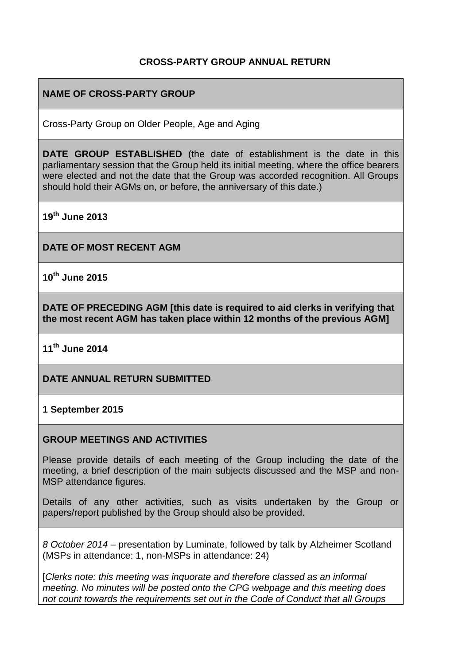# **CROSS-PARTY GROUP ANNUAL RETURN**

# **NAME OF CROSS-PARTY GROUP**

Cross-Party Group on Older People, Age and Aging

**DATE GROUP ESTABLISHED** (the date of establishment is the date in this parliamentary session that the Group held its initial meeting, where the office bearers were elected and not the date that the Group was accorded recognition. All Groups should hold their AGMs on, or before, the anniversary of this date.)

**19th June 2013**

**DATE OF MOST RECENT AGM**

**10th June 2015**

**DATE OF PRECEDING AGM [this date is required to aid clerks in verifying that the most recent AGM has taken place within 12 months of the previous AGM]**

**11th June 2014**

**DATE ANNUAL RETURN SUBMITTED**

#### **1 September 2015**

#### **GROUP MEETINGS AND ACTIVITIES**

Please provide details of each meeting of the Group including the date of the meeting, a brief description of the main subjects discussed and the MSP and non-MSP attendance figures.

Details of any other activities, such as visits undertaken by the Group or papers/report published by the Group should also be provided.

*8 October 2014* – presentation by Luminate, followed by talk by Alzheimer Scotland (MSPs in attendance: 1, non-MSPs in attendance: 24)

[*Clerks note: this meeting was inquorate and therefore classed as an informal meeting. No minutes will be posted onto the CPG webpage and this meeting does not count towards the requirements set out in the Code of Conduct that all Groups*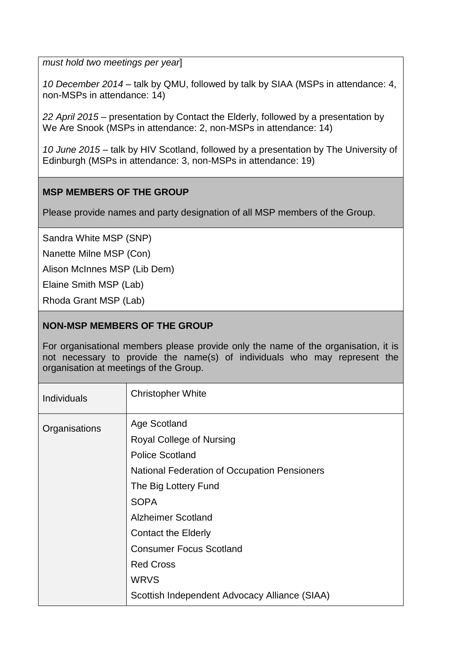*must hold two meetings per year*]

*10 December 2014* – talk by QMU, followed by talk by SIAA (MSPs in attendance: 4, non-MSPs in attendance: 14)

*22 April 2015* – presentation by Contact the Elderly, followed by a presentation by We Are Snook (MSPs in attendance: 2, non-MSPs in attendance: 14)

*10 June 2015* – talk by HIV Scotland, followed by a presentation by The University of Edinburgh (MSPs in attendance: 3, non-MSPs in attendance: 19)

# **MSP MEMBERS OF THE GROUP**

Please provide names and party designation of all MSP members of the Group.

Sandra White MSP (SNP)

Nanette Milne MSP (Con)

Alison McInnes MSP (Lib Dem)

Elaine Smith MSP (Lab)

Rhoda Grant MSP (Lab)

## **NON-MSP MEMBERS OF THE GROUP**

For organisational members please provide only the name of the organisation, it is not necessary to provide the name(s) of individuals who may represent the organisation at meetings of the Group.

| <b>Individuals</b> | <b>Christopher White</b>                                                                                                                                               |
|--------------------|------------------------------------------------------------------------------------------------------------------------------------------------------------------------|
| Organisations      | Age Scotland<br>Royal College of Nursing<br><b>Police Scotland</b><br><b>National Federation of Occupation Pensioners</b><br>The Big Lottery Fund<br><b>SOPA</b>       |
|                    | <b>Alzheimer Scotland</b><br>Contact the Elderly<br><b>Consumer Focus Scotland</b><br><b>Red Cross</b><br><b>WRVS</b><br>Scottish Independent Advocacy Alliance (SIAA) |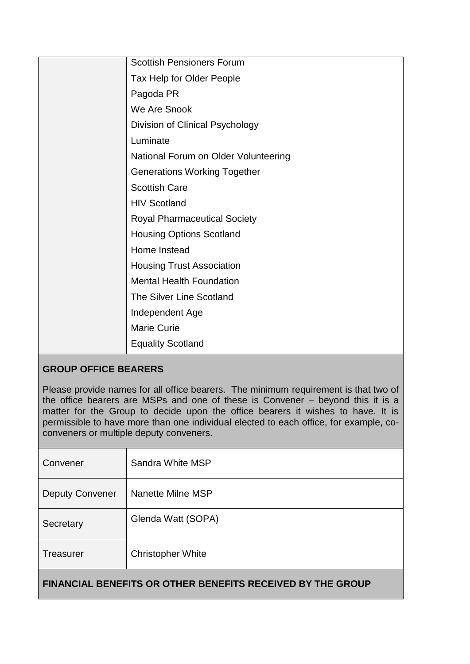| <b>Scottish Pensioners Forum</b>     |
|--------------------------------------|
| Tax Help for Older People            |
| Pagoda PR                            |
| We Are Snook                         |
| Division of Clinical Psychology      |
| Luminate                             |
| National Forum on Older Volunteering |
| <b>Generations Working Together</b>  |
| <b>Scottish Care</b>                 |
| <b>HIV Scotland</b>                  |
| <b>Royal Pharmaceutical Society</b>  |
| <b>Housing Options Scotland</b>      |
| Home Instead                         |
| <b>Housing Trust Association</b>     |
| <b>Mental Health Foundation</b>      |
| <b>The Silver Line Scotland</b>      |
| Independent Age                      |
| <b>Marie Curie</b>                   |
| <b>Equality Scotland</b>             |

# **GROUP OFFICE BEARERS**

Please provide names for all office bearers. The minimum requirement is that two of the office bearers are MSPs and one of these is Convener – beyond this it is a matter for the Group to decide upon the office bearers it wishes to have. It is permissible to have more than one individual elected to each office, for example, coconveners or multiple deputy conveners.

| Convener               | Sandra White MSP         |
|------------------------|--------------------------|
| <b>Deputy Convener</b> | Nanette Milne MSP        |
| Secretary              | Glenda Watt (SOPA)       |
| <b>Treasurer</b>       | <b>Christopher White</b> |
|                        |                          |

# **FINANCIAL BENEFITS OR OTHER BENEFITS RECEIVED BY THE GROUP**